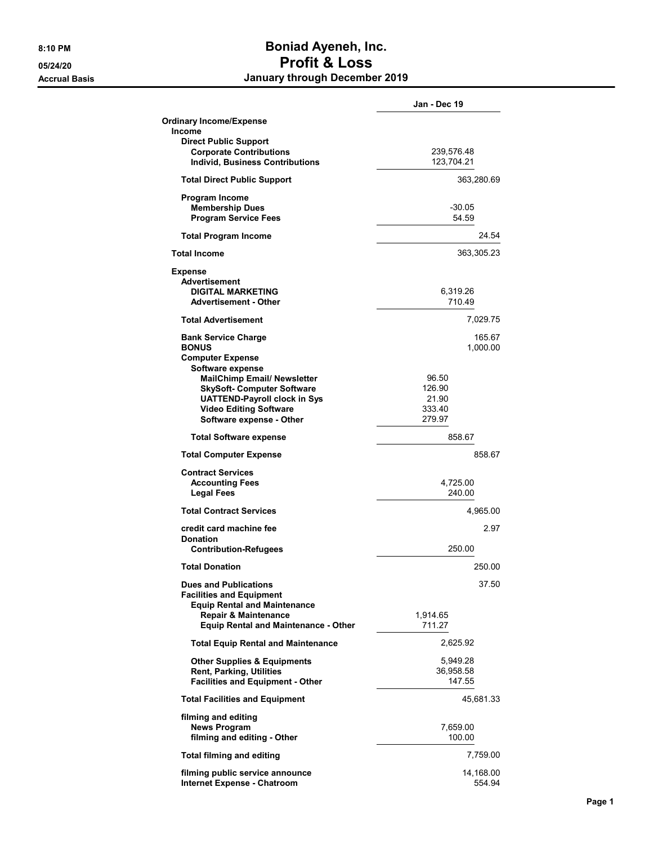## 8:10 PM Boniad Ayeneh, Inc. 05/24/20 Profit & Loss Accrual Basis **Accrual Basis January through December 2019**

|                                                                                                                                                                                                 | Jan - Dec 19                                 |
|-------------------------------------------------------------------------------------------------------------------------------------------------------------------------------------------------|----------------------------------------------|
| <b>Ordinary Income/Expense</b><br>Income<br><b>Direct Public Support</b>                                                                                                                        |                                              |
| <b>Corporate Contributions</b><br><b>Individ. Business Contributions</b>                                                                                                                        | 239,576.48<br>123,704.21                     |
| <b>Total Direct Public Support</b>                                                                                                                                                              | 363,280.69                                   |
| Program Income<br><b>Membership Dues</b><br><b>Program Service Fees</b>                                                                                                                         | $-30.05$<br>54.59                            |
| <b>Total Program Income</b>                                                                                                                                                                     | 24.54                                        |
| <b>Total Income</b>                                                                                                                                                                             | 363,305.23                                   |
| Expense<br>Advertisement<br><b>DIGITAL MARKETING</b><br><b>Advertisement - Other</b>                                                                                                            | 6,319.26<br>710.49                           |
| <b>Total Advertisement</b>                                                                                                                                                                      | 7,029.75                                     |
| <b>Bank Service Charge</b><br><b>BONUS</b><br><b>Computer Expense</b>                                                                                                                           | 165.67<br>1,000.00                           |
| Software expense<br><b>MailChimp Email/ Newsletter</b><br><b>SkySoft- Computer Software</b><br><b>UATTEND-Payroll clock in Sys</b><br><b>Video Editing Software</b><br>Software expense - Other | 96.50<br>126.90<br>21.90<br>333.40<br>279.97 |
| <b>Total Software expense</b>                                                                                                                                                                   | 858.67                                       |
| <b>Total Computer Expense</b>                                                                                                                                                                   | 858.67                                       |
| <b>Contract Services</b><br><b>Accounting Fees</b><br><b>Legal Fees</b>                                                                                                                         | 4,725.00<br>240.00                           |
| <b>Total Contract Services</b>                                                                                                                                                                  | 4,965.00                                     |
| credit card machine fee<br><b>Donation</b><br><b>Contribution-Refugees</b>                                                                                                                      | 2.97<br>250.00                               |
| <b>Total Donation</b>                                                                                                                                                                           | 250.00                                       |
| <b>Dues and Publications</b>                                                                                                                                                                    | 37.50                                        |
| <b>Facilities and Equipment</b><br><b>Equip Rental and Maintenance</b><br><b>Repair &amp; Maintenance</b><br>Equip Rental and Maintenance - Other                                               | 1,914.65<br>711.27                           |
| <b>Total Equip Rental and Maintenance</b>                                                                                                                                                       | 2,625.92                                     |
| <b>Other Supplies &amp; Equipments</b><br><b>Rent, Parking, Utilities</b><br><b>Facilities and Equipment - Other</b>                                                                            | 5,949.28<br>36,958.58<br>147.55              |
| <b>Total Facilities and Equipment</b>                                                                                                                                                           | 45,681.33                                    |
| filming and editing<br><b>News Program</b><br>filming and editing - Other                                                                                                                       | 7,659.00<br>100.00                           |
| <b>Total filming and editing</b>                                                                                                                                                                | 7,759.00                                     |
| filming public service announce<br><b>Internet Expense - Chatroom</b>                                                                                                                           | 14,168.00<br>554.94                          |